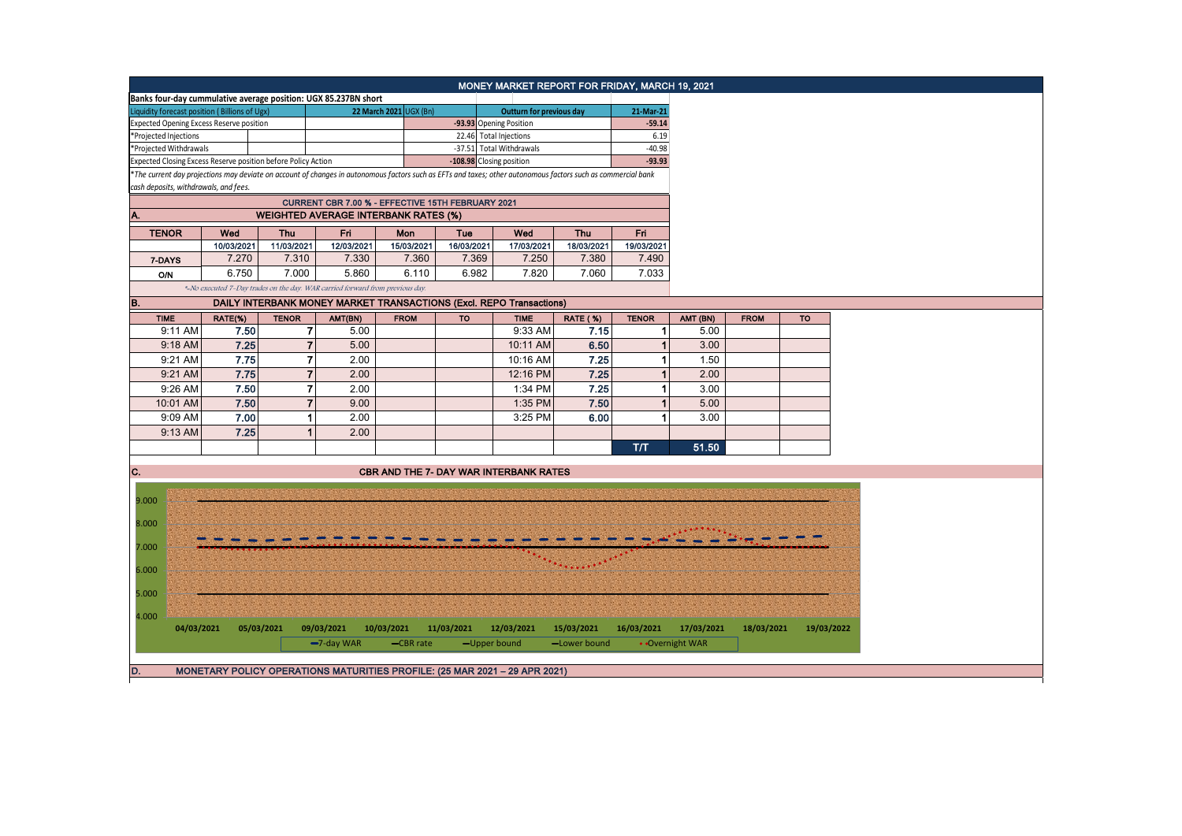|                                                                                                                                                               |                                                                               |              |                                 |             |                                                   | MONEY MARKET REPORT FOR FRIDAY, MARCH 19, 2021                      |                  |                |                 |             |            |
|---------------------------------------------------------------------------------------------------------------------------------------------------------------|-------------------------------------------------------------------------------|--------------|---------------------------------|-------------|---------------------------------------------------|---------------------------------------------------------------------|------------------|----------------|-----------------|-------------|------------|
| Banks four-day cummulative average position: UGX 85.237BN short                                                                                               |                                                                               |              |                                 |             |                                                   |                                                                     |                  |                |                 |             |            |
| Liquidity forecast position (Billions of Ugx)                                                                                                                 |                                                                               |              | 22 March 2021 UGX (Bn)          |             | Outturn for previous day                          |                                                                     | 21-Mar-21        |                |                 |             |            |
| <b>Expected Opening Excess Reserve position</b>                                                                                                               |                                                                               |              |                                 |             | -93.93 Opening Position<br>22.46 Total Injections |                                                                     | $-59.14$<br>6.19 |                |                 |             |            |
| *Projected Injections<br>*Projected Withdrawals                                                                                                               |                                                                               |              |                                 |             | -37.51 Total Withdrawals                          |                                                                     | $-40.98$         |                |                 |             |            |
| Expected Closing Excess Reserve position before Policy Action                                                                                                 |                                                                               |              |                                 |             |                                                   | -108.98 Closing position                                            |                  | $-93.93$       |                 |             |            |
| *The current day projections may deviate on account of changes in autonomous factors such as EFTs and taxes; other autonomous factors such as commercial bank |                                                                               |              |                                 |             |                                                   |                                                                     |                  |                |                 |             |            |
| cash deposits, withdrawals, and fees.                                                                                                                         |                                                                               |              |                                 |             |                                                   |                                                                     |                  |                |                 |             |            |
|                                                                                                                                                               |                                                                               |              |                                 |             |                                                   |                                                                     |                  |                |                 |             |            |
| Α.                                                                                                                                                            | <b>WEIGHTED AVERAGE INTERBANK RATES (%)</b>                                   |              |                                 |             |                                                   |                                                                     |                  |                |                 |             |            |
| <b>TENOR</b>                                                                                                                                                  | Wed                                                                           | <b>Thu</b>   | Fri                             | Mon         | Tue                                               | Wed                                                                 | Thu              |                |                 |             |            |
|                                                                                                                                                               | 10/03/2021                                                                    | 11/03/2021   | 12/03/2021                      | 15/03/2021  | 16/03/2021                                        | 17/03/2021                                                          | 18/03/2021       | 19/03/2021     |                 |             |            |
| 7-DAYS                                                                                                                                                        | 7.270                                                                         | 7.310        | 7.330                           | 7.360       | 7.369                                             | 7.250                                                               | 7.380            | 7.490          |                 |             |            |
| <b>O/N</b>                                                                                                                                                    | 6.750                                                                         | 7.000        | 5.860                           | 6.110       | 6.982                                             | 7.820                                                               | 7.060            | 7.033          |                 |             |            |
|                                                                                                                                                               | *-No executed 7-Day trades on the day. WAR carried forward from previous day. |              |                                 |             |                                                   |                                                                     |                  |                |                 |             |            |
| B.                                                                                                                                                            |                                                                               |              |                                 |             |                                                   | DAILY INTERBANK MONEY MARKET TRANSACTIONS (Excl. REPO Transactions) |                  |                |                 |             |            |
| <b>TIME</b>                                                                                                                                                   | RATE(%)                                                                       | <b>TENOR</b> | AMT(BN)                         | <b>FROM</b> | <b>TO</b>                                         | <b>TIME</b>                                                         | <b>RATE (%)</b>  | <b>TENOR</b>   | AMT (BN)        | <b>FROM</b> | <b>TO</b>  |
| 9:11 AM                                                                                                                                                       | 7.50                                                                          |              | 7<br>5.00                       |             |                                                   | 9:33 AM                                                             | 7.15             | -1             | 5.00            |             |            |
| 9:18 AM                                                                                                                                                       | 7.25                                                                          |              | $\overline{7}$<br>5.00          |             |                                                   | 10:11 AM                                                            | 6.50             | $\mathbf{1}$   | 3.00            |             |            |
| 9:21 AM                                                                                                                                                       | 7.75                                                                          |              | $\overline{7}$<br>2.00          |             |                                                   | 10:16 AM                                                            | 7.25             | 1              | 1.50            |             |            |
| 9:21 AM                                                                                                                                                       | 7.75                                                                          |              | $\overline{7}$<br>2.00          |             |                                                   | 12:16 PM                                                            | 7.25             | 1              | 2.00            |             |            |
| 9:26 AM                                                                                                                                                       | 7.50                                                                          |              | $\overline{\mathbf{r}}$<br>2.00 |             |                                                   | 1:34 PM                                                             | 7.25             | -1             | 3.00            |             |            |
| 10:01 AM                                                                                                                                                      | 7.50                                                                          |              | $\overline{7}$<br>9.00          |             |                                                   | 1:35 PM                                                             | 7.50             | $\overline{1}$ | 5.00            |             |            |
| 9:09 AM                                                                                                                                                       | 7.00                                                                          |              | $\mathbf{1}$<br>2.00            |             |                                                   | 3:25 PM                                                             | 6.00             | 1              | 3.00            |             |            |
| 9:13 AM                                                                                                                                                       | 7.25                                                                          |              | $\overline{1}$<br>2.00          |             |                                                   |                                                                     |                  |                |                 |             |            |
|                                                                                                                                                               |                                                                               |              |                                 |             |                                                   |                                                                     |                  | T/T            | 51.50           |             |            |
|                                                                                                                                                               |                                                                               |              |                                 |             |                                                   |                                                                     |                  |                |                 |             |            |
| C.                                                                                                                                                            |                                                                               |              |                                 |             |                                                   | <b>CBR AND THE 7- DAY WAR INTERBANK RATES</b>                       |                  |                |                 |             |            |
|                                                                                                                                                               |                                                                               |              |                                 |             |                                                   |                                                                     |                  |                |                 |             |            |
| 9.000                                                                                                                                                         |                                                                               |              |                                 |             |                                                   |                                                                     |                  |                |                 |             |            |
|                                                                                                                                                               |                                                                               |              |                                 |             |                                                   |                                                                     |                  |                |                 |             |            |
| 8.000                                                                                                                                                         |                                                                               |              |                                 |             |                                                   |                                                                     |                  |                |                 |             |            |
| 7.000                                                                                                                                                         |                                                                               |              |                                 |             |                                                   |                                                                     |                  |                |                 |             |            |
|                                                                                                                                                               |                                                                               |              |                                 |             |                                                   |                                                                     |                  |                |                 |             |            |
| 6.000                                                                                                                                                         |                                                                               |              |                                 |             |                                                   |                                                                     |                  |                |                 |             |            |
| 5.000                                                                                                                                                         |                                                                               |              |                                 |             |                                                   |                                                                     |                  |                |                 |             |            |
| 4.000                                                                                                                                                         |                                                                               |              |                                 |             |                                                   |                                                                     |                  |                |                 |             |            |
| 04/03/2021                                                                                                                                                    |                                                                               | 05/03/2021   | 09/03/2021                      | 10/03/2021  | 11/03/2021                                        | 12/03/2021                                                          | 15/03/2021       | 16/03/2021     | 17/03/2021      | 18/03/2021  | 19/03/2022 |
|                                                                                                                                                               |                                                                               |              | -7-day WAR                      | -CBR rate   |                                                   | -Upper bound                                                        | -Lower bound     |                | • Overnight WAR |             |            |
|                                                                                                                                                               |                                                                               |              |                                 |             |                                                   |                                                                     |                  |                |                 |             |            |
| D.                                                                                                                                                            | MONETARY POLICY OPERATIONS MATURITIES PROFILE: (25 MAR 2021 - 29 APR 2021)    |              |                                 |             |                                                   |                                                                     |                  |                |                 |             |            |